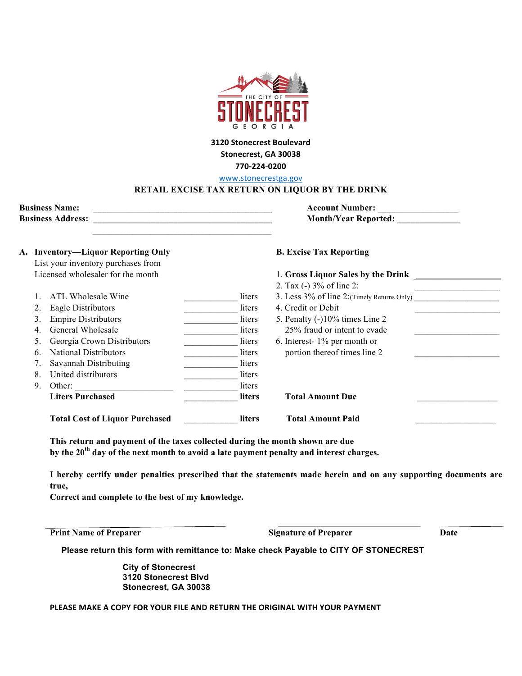

## **3120 Stonecrest Boulevard** Stonecrest, GA 30038 **770-224-0200**

www.stonecrestga.gov

## **RETAIL EXCISE TAX RETURN ON LIQUOR BY THE DRINK**

| <b>Business Name:</b>    | <b>Account Number:</b>      |
|--------------------------|-----------------------------|
| <b>Business Address:</b> | <b>Month/Year Reported:</b> |
|                          |                             |

## A. Inventory—Liquor Reporting Only **B. Excise Tax Reporting**

|                                   | List your inventory purchases from    |               |                                                |  |
|-----------------------------------|---------------------------------------|---------------|------------------------------------------------|--|
| Licensed wholesaler for the month |                                       |               | 1. Gross Liquor Sales by the Drink             |  |
|                                   |                                       |               | 2. Tax (-) 3% of line 2:                       |  |
|                                   | ATL Wholesale Wine                    | liters        | 3. Less $3\%$ of line 2: (Timely Returns Only) |  |
| 2.                                | Eagle Distributors                    | liters        | 4. Credit or Debit                             |  |
| 3 <sub>1</sub>                    | <b>Empire Distributors</b>            | liters        | 5. Penalty (-)10% times Line 2                 |  |
| 4.                                | General Wholesale                     | liters        | 25% fraud or intent to evade                   |  |
| 5.                                | Georgia Crown Distributors            | liters        | 6. Interest- $1\%$ per month or                |  |
| 6.                                | <b>National Distributors</b>          | liters        | portion thereof times line 2                   |  |
| 7.                                | Savannah Distributing                 | liters        |                                                |  |
| 8.                                | United distributors                   | liters        |                                                |  |
| 9.                                | Other:                                | liters        |                                                |  |
|                                   | <b>Liters Purchased</b>               | <b>liters</b> | <b>Total Amount Due</b>                        |  |
|                                   | <b>Total Cost of Liquor Purchased</b> | <b>liters</b> | <b>Total Amount Paid</b>                       |  |

**This return and payment of the taxes collected during the month shown are due by the 20th day of the next month to avoid a late payment penalty and interest charges.**

**I hereby certify under penalties prescribed that the statements made herein and on any supporting documents are true,** 

**Correct and complete to the best of my knowledge.**

**Print Name of Preparer Signature of Preparer Date** 

**Please return this form with remittance to: Make check Payable to CITY OF STONECREST**

**City of Stonecrest 3120 Stonecrest Blvd Stonecrest, GA 30038**

PLEASE MAKE A COPY FOR YOUR FILE AND RETURN THE ORIGINAL WITH YOUR PAYMENT